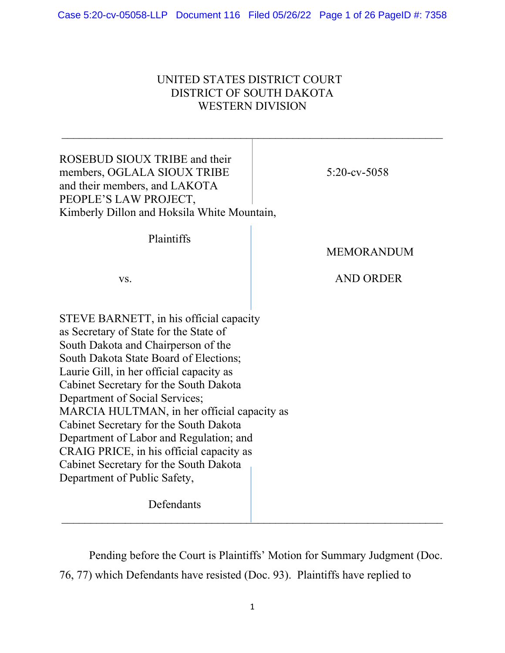## UNITED STATES DISTRICT COURT DISTRICT OF SOUTH DAKOTA WESTERN DIVISION

| ROSEBUD SIOUX TRIBE and their<br>members, OGLALA SIOUX TRIBE<br>and their members, and LAKOTA<br>PEOPLE'S LAW PROJECT,<br>Kimberly Dillon and Hoksila White Mountain,                                                                                                                                                                                                                                                                                                                                                                                              | $5:20$ -cv-5058                       |
|--------------------------------------------------------------------------------------------------------------------------------------------------------------------------------------------------------------------------------------------------------------------------------------------------------------------------------------------------------------------------------------------------------------------------------------------------------------------------------------------------------------------------------------------------------------------|---------------------------------------|
| Plaintiffs<br>VS.                                                                                                                                                                                                                                                                                                                                                                                                                                                                                                                                                  | <b>MEMORANDUM</b><br><b>AND ORDER</b> |
| STEVE BARNETT, in his official capacity<br>as Secretary of State for the State of<br>South Dakota and Chairperson of the<br>South Dakota State Board of Elections;<br>Laurie Gill, in her official capacity as<br>Cabinet Secretary for the South Dakota<br>Department of Social Services;<br>MARCIA HULTMAN, in her official capacity as<br>Cabinet Secretary for the South Dakota<br>Department of Labor and Regulation; and<br>CRAIG PRICE, in his official capacity as<br>Cabinet Secretary for the South Dakota<br>Department of Public Safety,<br>Defendants |                                       |

Pending before the Court is Plaintiffs' Motion for Summary Judgment (Doc. 76, 77) which Defendants have resisted (Doc. 93). Plaintiffs have replied to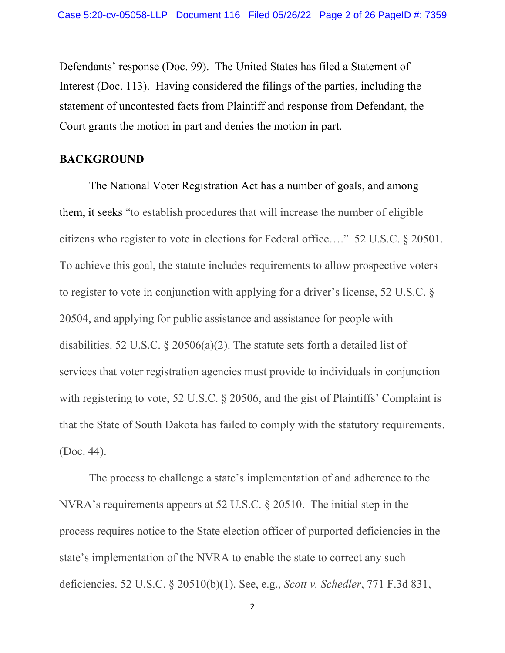Defendants' response (Doc. 99). The United States has filed a Statement of Interest (Doc. 113). Having considered the filings of the parties, including the statement of uncontested facts from Plaintiff and response from Defendant, the Court grants the motion in part and denies the motion in part.

### **BACKGROUND**

The National Voter Registration Act has a number of goals, and among them, it seeks "to establish procedures that will increase the number of eligible citizens who register to vote in elections for Federal office…." 52 U.S.C. § 20501. To achieve this goal, the statute includes requirements to allow prospective voters to register to vote in conjunction with applying for a driver's license, 52 U.S.C. § 20504, and applying for public assistance and assistance for people with disabilities. 52 U.S.C. § 20506(a)(2). The statute sets forth a detailed list of services that voter registration agencies must provide to individuals in conjunction with registering to vote, 52 U.S.C. § 20506, and the gist of Plaintiffs' Complaint is that the State of South Dakota has failed to comply with the statutory requirements. (Doc. 44).

The process to challenge a state's implementation of and adherence to the NVRA's requirements appears at 52 U.S.C. § 20510. The initial step in the process requires notice to the State election officer of purported deficiencies in the state's implementation of the NVRA to enable the state to correct any such deficiencies. 52 U.S.C. § 20510(b)(1). See, e.g., *Scott v. Schedler*, 771 F.3d 831,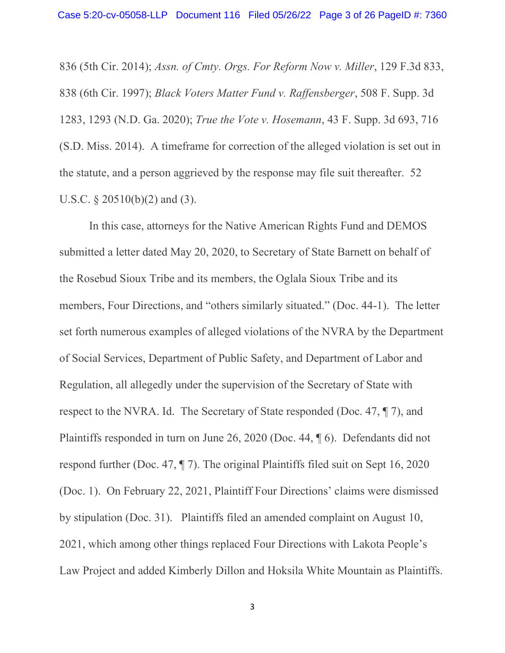836 (5th Cir. 2014); *Assn. of Cmty. Orgs. For Reform Now v. Miller*, 129 F.3d 833, 838 (6th Cir. 1997); *Black Voters Matter Fund v. Raffensberger*, 508 F. Supp. 3d 1283, 1293 (N.D. Ga. 2020); *True the Vote v. Hosemann*, 43 F. Supp. 3d 693, 716 (S.D. Miss. 2014). A timeframe for correction of the alleged violation is set out in the statute, and a person aggrieved by the response may file suit thereafter. 52 U.S.C.  $\S 20510(b)(2)$  and (3).

In this case, attorneys for the Native American Rights Fund and DEMOS submitted a letter dated May 20, 2020, to Secretary of State Barnett on behalf of the Rosebud Sioux Tribe and its members, the Oglala Sioux Tribe and its members, Four Directions, and "others similarly situated." (Doc. 44-1). The letter set forth numerous examples of alleged violations of the NVRA by the Department of Social Services, Department of Public Safety, and Department of Labor and Regulation, all allegedly under the supervision of the Secretary of State with respect to the NVRA. Id. The Secretary of State responded (Doc. 47, ¶ 7), and Plaintiffs responded in turn on June 26, 2020 (Doc. 44, ¶ 6). Defendants did not respond further (Doc. 47, ¶ 7). The original Plaintiffs filed suit on Sept 16, 2020 (Doc. 1). On February 22, 2021, Plaintiff Four Directions' claims were dismissed by stipulation (Doc. 31). Plaintiffs filed an amended complaint on August 10, 2021, which among other things replaced Four Directions with Lakota People's Law Project and added Kimberly Dillon and Hoksila White Mountain as Plaintiffs.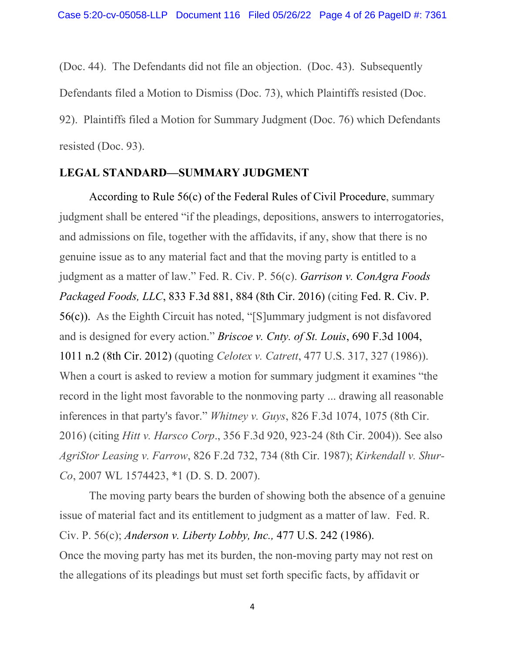(Doc. 44). The Defendants did not file an objection. (Doc. 43). Subsequently Defendants filed a Motion to Dismiss (Doc. 73), which Plaintiffs resisted (Doc. 92). Plaintiffs filed a Motion for Summary Judgment (Doc. 76) which Defendants resisted (Doc. 93).

#### **LEGAL STANDARD—SUMMARY JUDGMENT**

According to Rule 56(c) of the Federal Rules of Civil [Procedure,](https://1.next.westlaw.com/Link/Document/FullText?findType=L&pubNum=1000600&cite=USFRCPR56&originatingDoc=I1359932a103911dcb035bac3a32ef289&refType=RB&originationContext=document&transitionType=DocumentItem&ppcid=dd3ef288e86b4b798573d9d3b6505a05&contextData=(sc.Search)#co_pp_4b24000003ba5) summary judgment shall be entered "if the pleadings, depositions, answers to interrogatories, and admissions on file, together with the affidavits, if any, show that there is no genuine issue as to any material fact and that the moving party is entitled to a judgment as a matter of law." Fed. R. Civ. P. 56(c). *Garrison v. [ConAgra](https://1.next.westlaw.com/Link/Document/FullText?findType=Y&serNum=2039584798&pubNum=0000506&originatingDoc=Ie884287021c211ecb76ac8367f94fc34&refType=RP&fi=co_pp_sp_506_884&originationContext=document&transitionType=DocumentItem&ppcid=a2cee275209e4c76837160831233f056&contextData=(sc.Keycite)#co_pp_sp_506_884) Foods [Packaged](https://1.next.westlaw.com/Link/Document/FullText?findType=Y&serNum=2039584798&pubNum=0000506&originatingDoc=Ie884287021c211ecb76ac8367f94fc34&refType=RP&fi=co_pp_sp_506_884&originationContext=document&transitionType=DocumentItem&ppcid=a2cee275209e4c76837160831233f056&contextData=(sc.Keycite)#co_pp_sp_506_884) Foods, LLC*, 833 F.3d 881, 884 (8th Cir. 2016) (citing [Fed.](https://1.next.westlaw.com/Link/Document/FullText?findType=L&pubNum=1000600&cite=USFRCPR56&originatingDoc=Ie884287021c211ecb76ac8367f94fc34&refType=LQ&originationContext=document&transitionType=DocumentItem&ppcid=a2cee275209e4c76837160831233f056&contextData=(sc.Keycite)) R. Civ. P. [56\(c\)\)](https://1.next.westlaw.com/Link/Document/FullText?findType=L&pubNum=1000600&cite=USFRCPR56&originatingDoc=Ie884287021c211ecb76ac8367f94fc34&refType=LQ&originationContext=document&transitionType=DocumentItem&ppcid=a2cee275209e4c76837160831233f056&contextData=(sc.Keycite)). As the Eighth Circuit has noted, "[S]ummary judgment is not disfavored and is designed for every action." *[Briscoe](https://1.next.westlaw.com/Link/Document/FullText?findType=Y&serNum=2028498716&pubNum=0000506&originatingDoc=Ie884287021c211ecb76ac8367f94fc34&refType=RP&fi=co_pp_sp_506_1011&originationContext=document&transitionType=DocumentItem&ppcid=a2cee275209e4c76837160831233f056&contextData=(sc.Keycite)#co_pp_sp_506_1011) v. Cnty. of St. Louis*, 690 F.3d 1004, 1011 n.2 (8th Cir. [2012\)](https://1.next.westlaw.com/Link/Document/FullText?findType=Y&serNum=2028498716&pubNum=0000506&originatingDoc=Ie884287021c211ecb76ac8367f94fc34&refType=RP&fi=co_pp_sp_506_1011&originationContext=document&transitionType=DocumentItem&ppcid=a2cee275209e4c76837160831233f056&contextData=(sc.Keycite)#co_pp_sp_506_1011) (quoting *Celotex v. Catrett*, 477 U.S. 317, 327 (1986)). When a court is asked to review a motion for summary judgment it examines "the record in the light most favorable to the nonmoving party ... drawing all reasonable inferences in that party's favor." *Whitney v. Guys*, 826 F.3d 1074, 1075 (8th Cir. 2016) (citing *Hitt v. Harsco Corp*., 356 F.3d 920, 923-24 (8th Cir. 2004)). See also *AgriStor Leasing v. Farrow*, 826 F.2d 732, 734 (8th Cir. 1987); *Kirkendall v. Shur-Co*, 2007 WL 1574423, \*1 (D. S. D. 2007).

The moving party bears the burden of showing both the absence of a genuine issue of material fact and its entitlement to judgment as a matter of law. Fed. R. Civ. P. 56(c); *[Anderson](https://1.next.westlaw.com/Link/Document/FullText?findType=Y&serNum=1986132674&pubNum=0000780&originatingDoc=I1359932a103911dcb035bac3a32ef289&refType=RP&originationContext=document&transitionType=DocumentItem&ppcid=dd3ef288e86b4b798573d9d3b6505a05&contextData=(sc.Search)) v. Liberty Lobby, Inc.,* 477 U.S. 242 (1986). Once the moving party has met its burden, the non-moving party may not rest on the allegations of its pleadings but must set forth specific facts, by affidavit or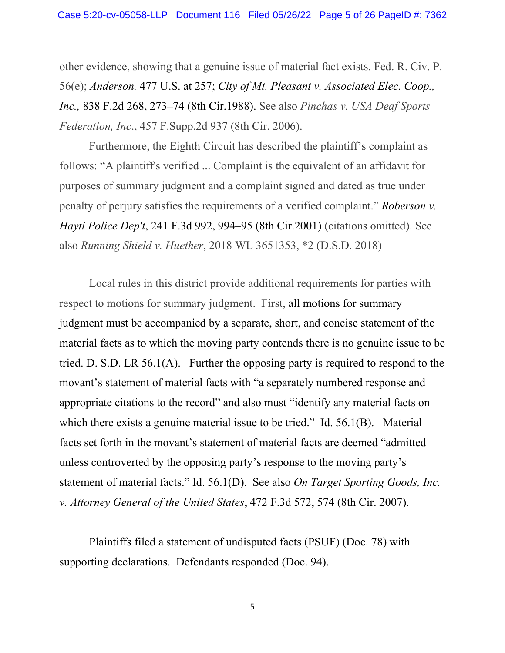other evidence, showing that a genuine issue of material fact exists. Fed. R. Civ. P. 56(e); *[Anderson,](https://1.next.westlaw.com/Link/Document/FullText?findType=Y&serNum=1986132674&pubNum=780&originatingDoc=I1359932a103911dcb035bac3a32ef289&refType=RP&fi=co_pp_sp_780_257&originationContext=document&transitionType=DocumentItem&ppcid=dd3ef288e86b4b798573d9d3b6505a05&contextData=(sc.Search)#co_pp_sp_780_257)* 477 U.S. at 257; *City of Mt. Pleasant v. [Associated](https://1.next.westlaw.com/Link/Document/FullText?findType=Y&serNum=1988014938&pubNum=0000350&originatingDoc=I1359932a103911dcb035bac3a32ef289&refType=RP&fi=co_pp_sp_350_273&originationContext=document&transitionType=DocumentItem&ppcid=dd3ef288e86b4b798573d9d3b6505a05&contextData=(sc.Search)#co_pp_sp_350_273) Elec. Coop., Inc.,* 838 F.2d 268, 273–74 (8th [Cir.1988\).](https://1.next.westlaw.com/Link/Document/FullText?findType=Y&serNum=1988014938&pubNum=0000350&originatingDoc=I1359932a103911dcb035bac3a32ef289&refType=RP&fi=co_pp_sp_350_273&originationContext=document&transitionType=DocumentItem&ppcid=dd3ef288e86b4b798573d9d3b6505a05&contextData=(sc.Search)#co_pp_sp_350_273) See also *Pinchas v. USA Deaf Sports Federation, Inc*., 457 F.Supp.2d 937 (8th Cir. 2006).

Furthermore, the Eighth Circuit has described the plaintiff's complaint as follows: "A plaintiff's verified ... Complaint is the equivalent of an affidavit for purposes of summary judgment and a complaint signed and dated as true under penalty of perjury satisfies the requirements of a verified complaint." *[Roberson](https://1.next.westlaw.com/Link/Document/FullText?findType=Y&serNum=2001208316&pubNum=0000506&originatingDoc=I90a3c020967911e89b71ea0c471daf33&refType=RP&fi=co_pp_sp_506_994&originationContext=document&transitionType=DocumentItem&ppcid=eb4c4a56da8149bcbca97c105026408b&contextData=(sc.Search)#co_pp_sp_506_994) v. Hayti Police Dep't*, 241 F.3d 992, 994–95 (8th [Cir.2001\)](https://1.next.westlaw.com/Link/Document/FullText?findType=Y&serNum=2001208316&pubNum=0000506&originatingDoc=I90a3c020967911e89b71ea0c471daf33&refType=RP&fi=co_pp_sp_506_994&originationContext=document&transitionType=DocumentItem&ppcid=eb4c4a56da8149bcbca97c105026408b&contextData=(sc.Search)#co_pp_sp_506_994) (citations omitted). See also *Running Shield v. Huether*, 2018 WL 3651353, \*2 (D.S.D. 2018)

Local rules in this district provide additional requirements for parties with respect to motions for summary judgment. First, all motions for summary judgment must be accompanied by a separate, short, and concise statement of the material facts as to which the moving party contends there is no genuine issue to be tried. D. S.D. LR 56.1(A). Further the opposing party is required to respond to the movant's statement of material facts with "a separately numbered response and appropriate citations to the record" and also must "identify any material facts on which there exists a genuine material issue to be tried." Id. 56.1(B). Material facts set forth in the movant's statement of material facts are deemed "admitted unless controverted by the opposing party's response to the moving party's statement of material facts." Id. 56.1(D). See also *On Target Sporting Goods, Inc. v. Attorney General of the United States*, 472 F.3d 572, 574 (8th Cir. 2007).

Plaintiffs filed a statement of undisputed facts (PSUF) (Doc. 78) with supporting declarations. Defendants responded (Doc. 94).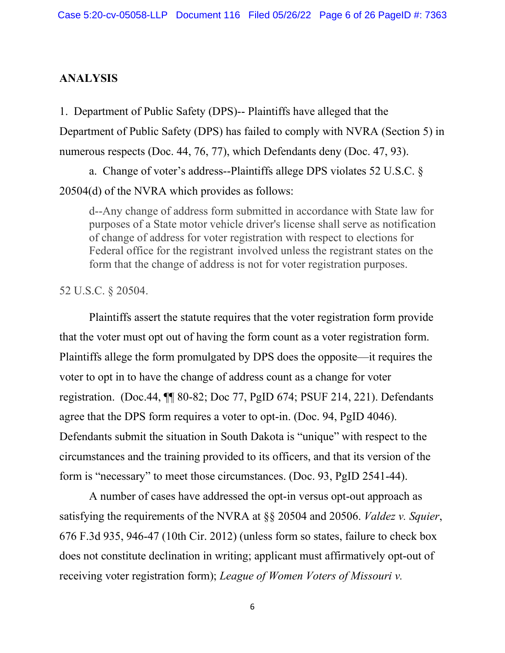## **ANALYSIS**

1. Department of Public Safety (DPS)-- Plaintiffs have alleged that the Department of Public Safety (DPS) has failed to comply with NVRA (Section 5) in numerous respects (Doc. 44, 76, 77), which Defendants deny (Doc. 47, 93).

a. Change of voter's address--Plaintiffs allege DPS violates 52 U.S.C. § 20504(d) of the NVRA which provides as follows:

d--Any change of address form submitted in accordance with State law for purposes of a State motor vehicle driver's license shall serve as notification of change of address for voter registration with respect to elections for Federal office for the registrant involved unless the registrant states on the form that the change of address is not for voter registration purposes.

52 U.S.C. § 20504.

Plaintiffs assert the statute requires that the voter registration form provide that the voter must opt out of having the form count as a voter registration form. Plaintiffs allege the form promulgated by DPS does the opposite—it requires the voter to opt in to have the change of address count as a change for voter registration. (Doc.44, ¶¶ 80-82; Doc 77, PgID 674; PSUF 214, 221). Defendants agree that the DPS form requires a voter to opt-in. (Doc. 94, PgID 4046). Defendants submit the situation in South Dakota is "unique" with respect to the circumstances and the training provided to its officers, and that its version of the form is "necessary" to meet those circumstances. (Doc. 93, PgID 2541-44).

A number of cases have addressed the opt-in versus opt-out approach as satisfying the requirements of the NVRA at §§ 20504 and 20506. *Valdez v. Squier*, 676 F.3d 935, 946-47 (10th Cir. 2012) (unless form so states, failure to check box does not constitute declination in writing; applicant must affirmatively opt-out of receiving voter registration form); *League of Women Voters of Missouri v.*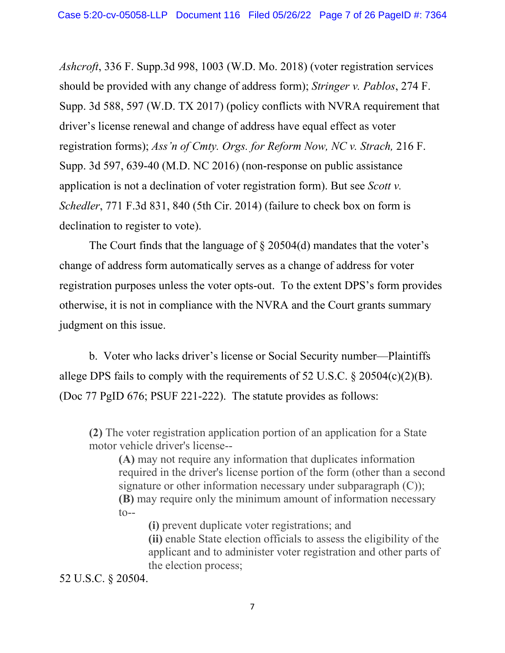*Ashcroft*, 336 F. Supp.3d 998, 1003 (W.D. Mo. 2018) (voter registration services should be provided with any change of address form); *Stringer v. Pablos*, 274 F. Supp. 3d 588, 597 (W.D. TX 2017) (policy conflicts with NVRA requirement that driver's license renewal and change of address have equal effect as voter registration forms); *Ass'n of Cmty. Orgs. for Reform Now, NC v. Strach,* 216 F. Supp. 3d 597, 639-40 (M.D. NC 2016) (non-response on public assistance application is not a declination of voter registration form). But see *Scott v. Schedler*, 771 F.3d 831, 840 (5th Cir. 2014) (failure to check box on form is declination to register to vote).

The Court finds that the language of § 20504(d) mandates that the voter's change of address form automatically serves as a change of address for voter registration purposes unless the voter opts-out. To the extent DPS's form provides otherwise, it is not in compliance with the NVRA and the Court grants summary judgment on this issue.

b. Voter who lacks driver's license or Social Security number—Plaintiffs allege DPS fails to comply with the requirements of 52 U.S.C. § 20504(c)(2)(B). (Doc 77 PgID 676; PSUF 221-222). The statute provides as follows:

**(2)** The voter registration application portion of an application for a State motor vehicle driver's license--

**(A)** may not require any information that duplicates information required in the driver's license portion of the form (other than a second signature or other information necessary under subparagraph  $(C)$ ); **(B)** may require only the minimum amount of information necessary  $t_{O--}$ 

**(i)** prevent duplicate voter registrations; and

**(ii)** enable State election officials to assess the eligibility of the applicant and to administer voter registration and other parts of the election process;

52 U.S.C. § 20504.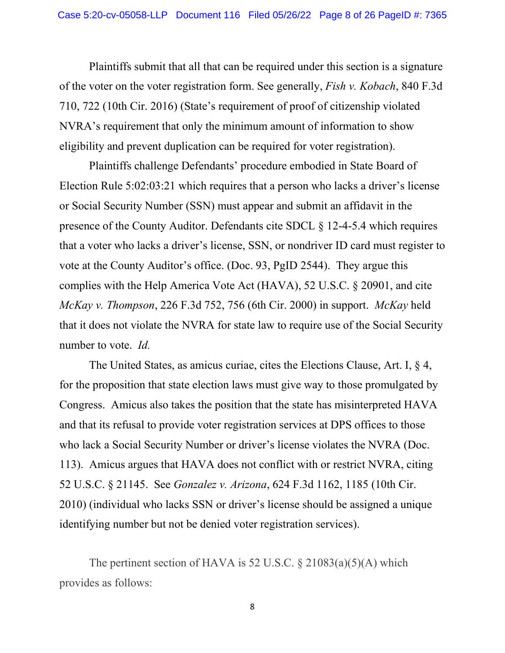Plaintiffs submit that all that can be required under this section is a signature of the voter on the voter registration form. See generally, *Fish v. Kobach*, 840 F.3d 710, 722 (10th Cir. 2016) (State's requirement of proof of citizenship violated NVRA's requirement that only the minimum amount of information to show eligibility and prevent duplication can be required for voter registration).

Plaintiffs challenge Defendants' procedure embodied in State Board of Election Rule 5:02:03:21 which requires that a person who lacks a driver's license or Social Security Number (SSN) must appear and submit an affidavit in the presence of the County Auditor. Defendants cite SDCL § 12-4-5.4 which requires that a voter who lacks a driver's license, SSN, or nondriver ID card must register to vote at the County Auditor's office. (Doc. 93, PgID 2544). They argue this complies with the Help America Vote Act (HAVA), 52 U.S.C. § 20901, and cite *McKay v. Thompson*, 226 F.3d 752, 756 (6th Cir. 2000) in support. *McKay* held that it does not violate the NVRA for state law to require use of the Social Security number to vote. *Id.*

The United States, as amicus curiae, cites the Elections Clause, Art. I, § 4, for the proposition that state election laws must give way to those promulgated by Congress. Amicus also takes the position that the state has misinterpreted HAVA and that its refusal to provide voter registration services at DPS offices to those who lack a Social Security Number or driver's license violates the NVRA (Doc. 113). Amicus argues that HAVA does not conflict with or restrict NVRA, citing 52 U.S.C. § 21145. See *Gonzalez v. Arizona*, 624 F.3d 1162, 1185 (10th Cir. 2010) (individual who lacks SSN or driver's license should be assigned a unique identifying number but not be denied voter registration services).

The pertinent section of HAVA is 52 U.S.C.  $\S 21083(a)(5)(A)$  which provides as follows: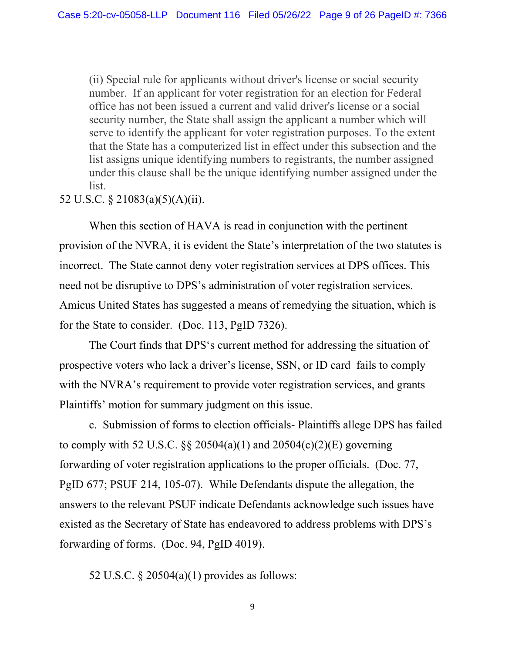(ii) Special rule for applicants without driver's license or social security number. If an applicant for voter registration for an election for Federal office has not been issued a current and valid driver's license or a social security number, the State shall assign the applicant a number which will serve to identify the applicant for voter registration purposes. To the extent that the State has a computerized list in effect under this subsection and the list assigns unique identifying numbers to registrants, the number assigned under this clause shall be the unique identifying number assigned under the list.

52 U.S.C. § 21083(a)(5)(A)(ii).

When this section of HAVA is read in conjunction with the pertinent provision of the NVRA, it is evident the State's interpretation of the two statutes is incorrect. The State cannot deny voter registration services at DPS offices. This need not be disruptive to DPS's administration of voter registration services. Amicus United States has suggested a means of remedying the situation, which is for the State to consider. (Doc. 113, PgID 7326).

The Court finds that DPS's current method for addressing the situation of prospective voters who lack a driver's license, SSN, or ID card fails to comply with the NVRA's requirement to provide voter registration services, and grants Plaintiffs' motion for summary judgment on this issue.

c. Submission of forms to election officials- Plaintiffs allege DPS has failed to comply with 52 U.S.C.  $\S$  20504(a)(1) and 20504(c)(2)(E) governing forwarding of voter registration applications to the proper officials. (Doc. 77, PgID 677; PSUF 214, 105-07). While Defendants dispute the allegation, the answers to the relevant PSUF indicate Defendants acknowledge such issues have existed as the Secretary of State has endeavored to address problems with DPS's forwarding of forms. (Doc. 94, PgID 4019).

52 U.S.C. § 20504(a)(1) provides as follows: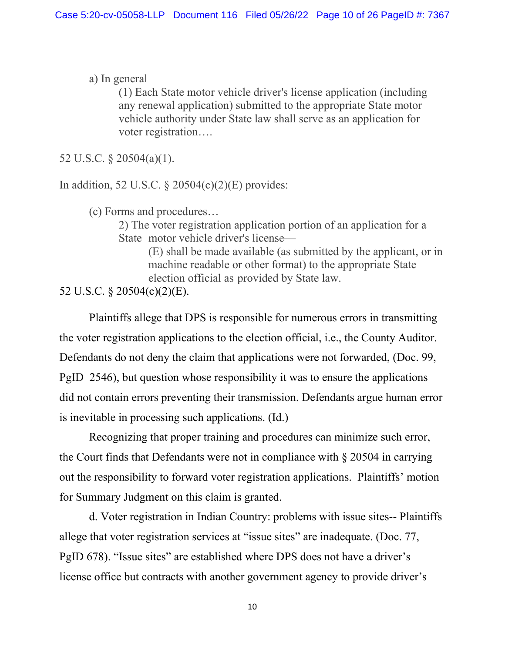a) In general

(1) Each State motor vehicle driver's license application (including any renewal application) submitted to the appropriate State motor vehicle authority under State law shall serve as an application for voter registration….

52 U.S.C. § 20504(a)(1).

In addition, 52 U.S.C.  $\S 20504(c)(2)(E)$  provides:

(c) Forms and procedures…

2) The voter registration application portion of an application for a State motor vehicle driver's license—

> (E) shall be made available (as submitted by the applicant, or in machine readable or other format) to the appropriate State election official as provided by State law.

52 U.S.C. § 20504(c)(2)(E).

Plaintiffs allege that DPS is responsible for numerous errors in transmitting the voter registration applications to the election official, i.e., the County Auditor. Defendants do not deny the claim that applications were not forwarded, (Doc. 99, PgID 2546), but question whose responsibility it was to ensure the applications did not contain errors preventing their transmission. Defendants argue human error is inevitable in processing such applications. (Id.)

Recognizing that proper training and procedures can minimize such error, the Court finds that Defendants were not in compliance with § 20504 in carrying out the responsibility to forward voter registration applications. Plaintiffs' motion for Summary Judgment on this claim is granted.

d. Voter registration in Indian Country: problems with issue sites-- Plaintiffs allege that voter registration services at "issue sites" are inadequate. (Doc. 77, PgID 678). "Issue sites" are established where DPS does not have a driver's license office but contracts with another government agency to provide driver's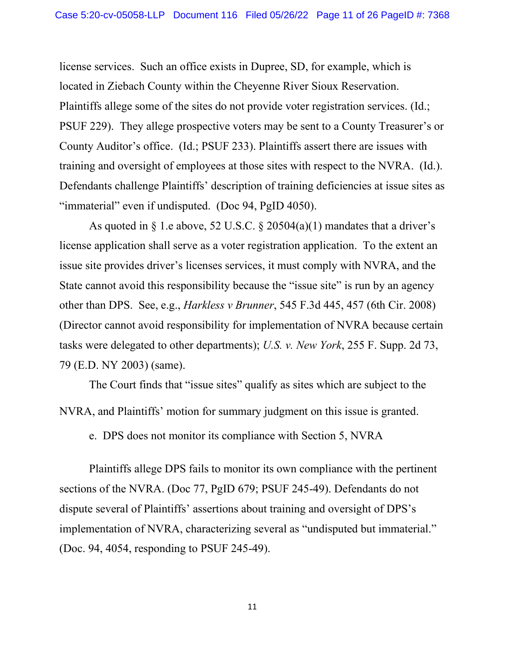license services. Such an office exists in Dupree, SD, for example, which is located in Ziebach County within the Cheyenne River Sioux Reservation. Plaintiffs allege some of the sites do not provide voter registration services. (Id.; PSUF 229). They allege prospective voters may be sent to a County Treasurer's or County Auditor's office. (Id.; PSUF 233). Plaintiffs assert there are issues with training and oversight of employees at those sites with respect to the NVRA. (Id.). Defendants challenge Plaintiffs' description of training deficiencies at issue sites as "immaterial" even if undisputed. (Doc 94, PgID 4050).

As quoted in  $\S$  1.e above, 52 U.S.C.  $\S$  20504(a)(1) mandates that a driver's license application shall serve as a voter registration application. To the extent an issue site provides driver's licenses services, it must comply with NVRA, and the State cannot avoid this responsibility because the "issue site" is run by an agency other than DPS. See, e.g., *Harkless v Brunner*, 545 F.3d 445, 457 (6th Cir. 2008) (Director cannot avoid responsibility for implementation of NVRA because certain tasks were delegated to other departments); *U.S. v. New York*, 255 F. Supp. 2d 73, 79 (E.D. NY 2003) (same).

The Court finds that "issue sites" qualify as sites which are subject to the NVRA, and Plaintiffs' motion for summary judgment on this issue is granted.

e. DPS does not monitor its compliance with Section 5, NVRA

Plaintiffs allege DPS fails to monitor its own compliance with the pertinent sections of the NVRA. (Doc 77, PgID 679; PSUF 245-49). Defendants do not dispute several of Plaintiffs' assertions about training and oversight of DPS's implementation of NVRA, characterizing several as "undisputed but immaterial." (Doc. 94, 4054, responding to PSUF 245-49).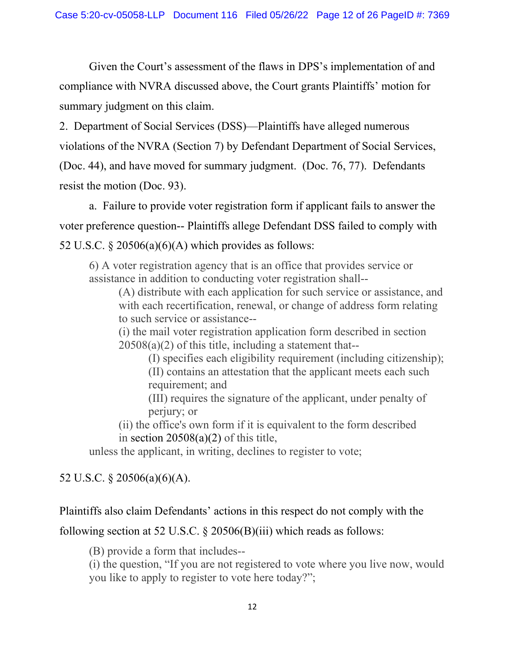Given the Court's assessment of the flaws in DPS's implementation of and compliance with NVRA discussed above, the Court grants Plaintiffs' motion for summary judgment on this claim.

2. Department of Social Services (DSS)—Plaintiffs have alleged numerous violations of the NVRA (Section 7) by Defendant Department of Social Services, (Doc. 44), and have moved for summary judgment. (Doc. 76, 77). Defendants resist the motion (Doc. 93).

a. Failure to provide voter registration form if applicant fails to answer the voter preference question-- Plaintiffs allege Defendant DSS failed to comply with 52 U.S.C.  $\frac{$20506(a)(6)(A)}{A}$  which provides as follows:

6) A voter registration agency that is an office that provides service or assistance in addition to conducting voter registration shall--

(A) distribute with each application for such service or assistance, and with each recertification, renewal, or change of address form relating to such service or assistance--

(i) the mail voter registration application form described in section  $20508(a)(2)$  of this title, including a statement that--

(I) specifies each eligibility requirement (including citizenship); (II) contains an attestation that the applicant meets each such requirement; and

(III) requires the signature of the applicant, under penalty of perjury; or

(ii) the office's own form if it is equivalent to the form described in section  $20508(a)(2)$  of this title,

unless the applicant, in writing, declines to register to vote;

# 52 U.S.C. § 20506(a)(6)(A).

## Plaintiffs also claim Defendants' actions in this respect do not comply with the

following section at 52 U.S.C. § 20506(B)(iii) which reads as follows:

(B) provide a form that includes--

(i) the question, "If you are not registered to vote where you live now, would you like to apply to register to vote here today?";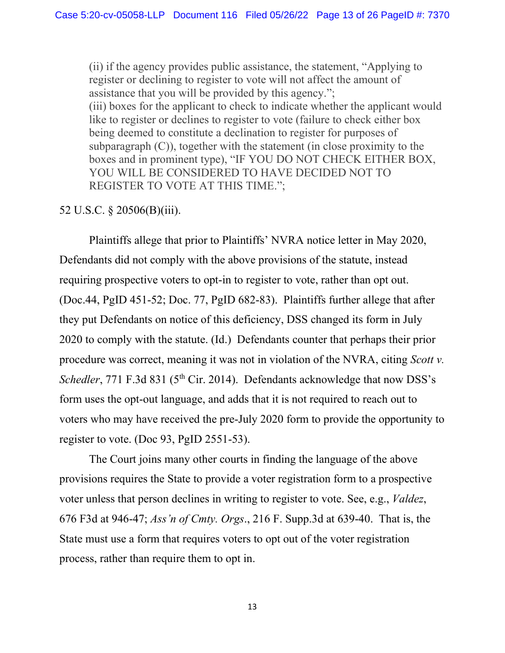(ii) if the agency provides public assistance, the statement, "Applying to register or declining to register to vote will not affect the amount of assistance that you will be provided by this agency."; (iii) boxes for the applicant to check to indicate whether the applicant would like to register or declines to register to vote (failure to check either box being deemed to constitute a declination to register for purposes of subparagraph (C)), together with the statement (in close proximity to the boxes and in prominent type), "IF YOU DO NOT CHECK EITHER BOX, YOU WILL BE CONSIDERED TO HAVE DECIDED NOT TO REGISTER TO VOTE AT THIS TIME.";

## 52 U.S.C. § 20506(B)(iii).

Plaintiffs allege that prior to Plaintiffs' NVRA notice letter in May 2020, Defendants did not comply with the above provisions of the statute, instead requiring prospective voters to opt-in to register to vote, rather than opt out. (Doc.44, PgID 451-52; Doc. 77, PgID 682-83). Plaintiffs further allege that after they put Defendants on notice of this deficiency, DSS changed its form in July 2020 to comply with the statute. (Id.) Defendants counter that perhaps their prior procedure was correct, meaning it was not in violation of the NVRA, citing *Scott v. Schedler*, 771 F.3d 831 (5<sup>th</sup> Cir. 2014). Defendants acknowledge that now DSS's form uses the opt-out language, and adds that it is not required to reach out to voters who may have received the pre-July 2020 form to provide the opportunity to register to vote. (Doc 93, PgID 2551-53).

The Court joins many other courts in finding the language of the above provisions requires the State to provide a voter registration form to a prospective voter unless that person declines in writing to register to vote. See, e.g., *Valdez*, 676 F3d at 946-47; *Ass'n of Cmty. Orgs*., 216 F. Supp.3d at 639-40. That is, the State must use a form that requires voters to opt out of the voter registration process, rather than require them to opt in.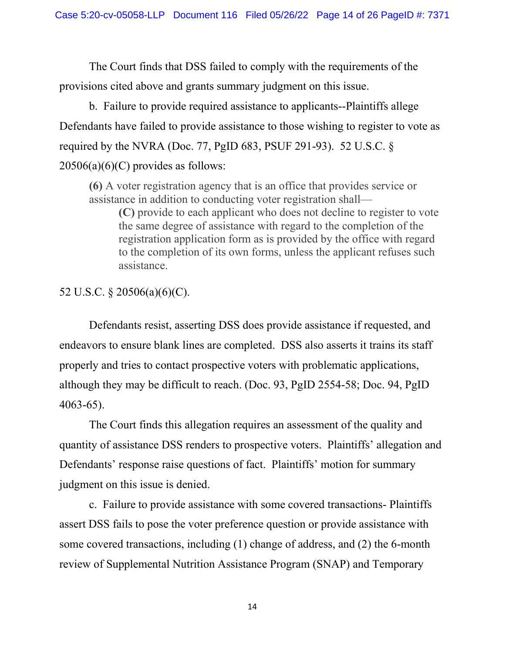The Court finds that DSS failed to comply with the requirements of the provisions cited above and grants summary judgment on this issue.

b. Failure to provide required assistance to applicants--Plaintiffs allege Defendants have failed to provide assistance to those wishing to register to vote as required by the NVRA (Doc. 77, PgID 683, PSUF 291-93). 52 U.S.C.  $\S$  $20506(a)(6)(C)$  provides as follows:

**(6)** A voter registration agency that is an office that provides service or assistance in addition to conducting voter registration shall—

**(C)** provide to each applicant who does not decline to register to vote the same degree of assistance with regard to the completion of the registration application form as is provided by the office with regard to the completion of its own forms, unless the applicant refuses such assistance.

## 52 U.S.C. § 20506(a)(6)(C).

Defendants resist, asserting DSS does provide assistance if requested, and endeavors to ensure blank lines are completed. DSS also asserts it trains its staff properly and tries to contact prospective voters with problematic applications, although they may be difficult to reach. (Doc. 93, PgID 2554-58; Doc. 94, PgID 4063-65).

The Court finds this allegation requires an assessment of the quality and quantity of assistance DSS renders to prospective voters. Plaintiffs' allegation and Defendants' response raise questions of fact. Plaintiffs' motion for summary judgment on this issue is denied.

c. Failure to provide assistance with some covered transactions- Plaintiffs assert DSS fails to pose the voter preference question or provide assistance with some covered transactions, including (1) change of address, and (2) the 6-month review of Supplemental Nutrition Assistance Program (SNAP) and Temporary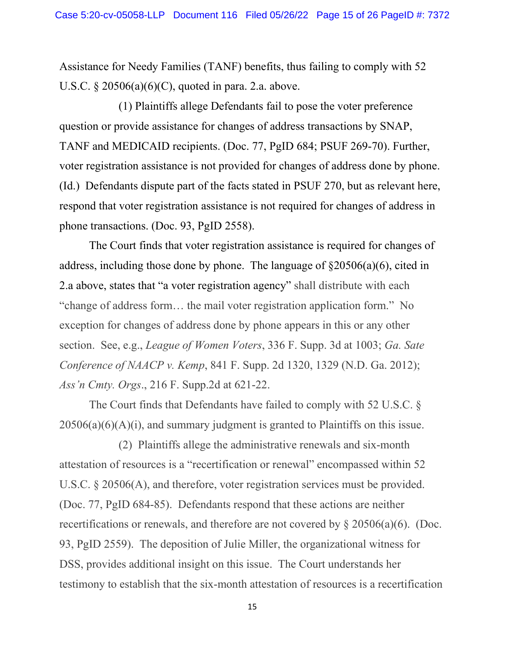Assistance for Needy Families (TANF) benefits, thus failing to comply with 52 U.S.C. § 20506(a)(6)(C), quoted in para. 2.a. above.

(1) Plaintiffs allege Defendants fail to pose the voter preference question or provide assistance for changes of address transactions by SNAP, TANF and MEDICAID recipients. (Doc. 77, PgID 684; PSUF 269-70). Further, voter registration assistance is not provided for changes of address done by phone. (Id.) Defendants dispute part of the facts stated in PSUF 270, but as relevant here, respond that voter registration assistance is not required for changes of address in phone transactions. (Doc. 93, PgID 2558).

The Court finds that voter registration assistance is required for changes of address, including those done by phone. The language of §20506(a)(6), cited in 2.a above, states that "a voter registration agency" shall distribute with each "change of address form… the mail voter registration application form." No exception for changes of address done by phone appears in this or any other section. See, e.g., *League of Women Voters*, 336 F. Supp. 3d at 1003; *Ga. Sate Conference of NAACP v. Kemp*, 841 F. Supp. 2d 1320, 1329 (N.D. Ga. 2012); *Ass'n Cmty. Orgs*., 216 F. Supp.2d at 621-22.

The Court finds that Defendants have failed to comply with 52 U.S.C. §  $20506(a)(6)(A)(i)$ , and summary judgment is granted to Plaintiffs on this issue.

(2) Plaintiffs allege the administrative renewals and six-month attestation of resources is a "recertification or renewal" encompassed within 52 U.S.C. § 20506(A), and therefore, voter registration services must be provided. (Doc. 77, PgID 684-85). Defendants respond that these actions are neither recertifications or renewals, and therefore are not covered by § 20506(a)(6). (Doc. 93, PgID 2559). The deposition of Julie Miller, the organizational witness for DSS, provides additional insight on this issue. The Court understands her testimony to establish that the six-month attestation of resources is a recertification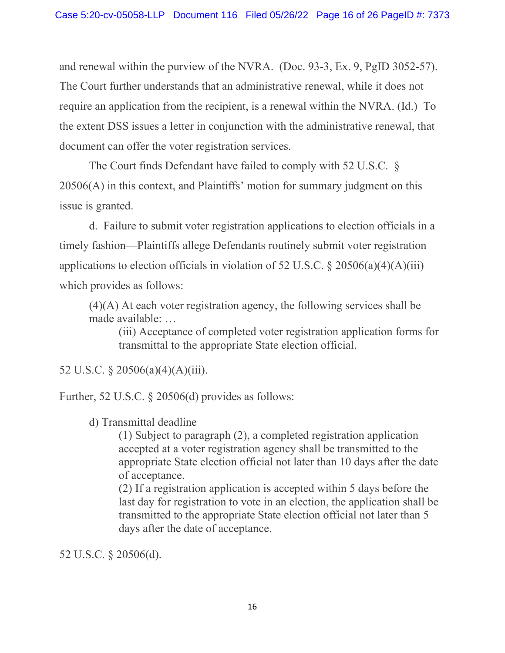and renewal within the purview of the NVRA. (Doc. 93-3, Ex. 9, PgID 3052-57). The Court further understands that an administrative renewal, while it does not require an application from the recipient, is a renewal within the NVRA. (Id.) To the extent DSS issues a letter in conjunction with the administrative renewal, that document can offer the voter registration services.

The Court finds Defendant have failed to comply with 52 U.S.C. § 20506(A) in this context, and Plaintiffs' motion for summary judgment on this issue is granted.

d. Failure to submit voter registration applications to election officials in a timely fashion—Plaintiffs allege Defendants routinely submit voter registration applications to election officials in violation of 52 U.S.C.  $\S 20506(a)(4)(A)(iii)$ which provides as follows:

(4)(A) At each voter registration agency, the following services shall be made available: …

(iii) Acceptance of completed voter registration application forms for transmittal to the appropriate State election official.

52 U.S.C. § 20506(a)(4)(A)(iii).

Further, 52 U.S.C. § 20506(d) provides as follows:

d) Transmittal deadline

(1) Subject to paragraph (2), a completed registration application accepted at a voter registration agency shall be transmitted to the appropriate State election official not later than 10 days after the date of acceptance.

(2) If a registration application is accepted within 5 days before the last day for registration to vote in an election, the application shall be transmitted to the appropriate State election official not later than 5 days after the date of acceptance.

52 U.S.C. § 20506(d).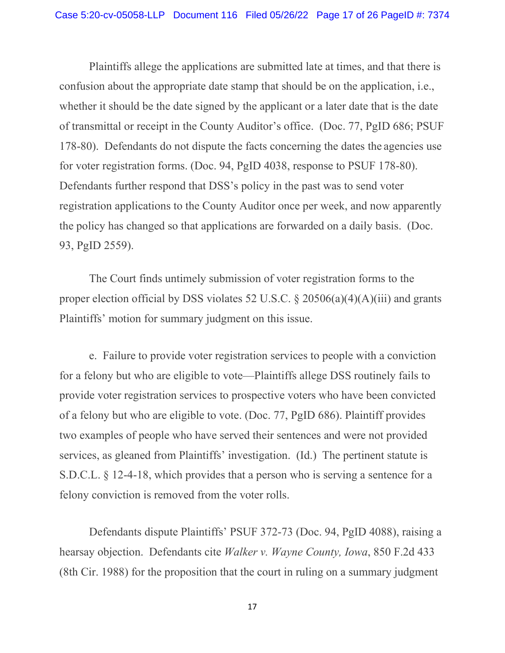Plaintiffs allege the applications are submitted late at times, and that there is confusion about the appropriate date stamp that should be on the application, i.e., whether it should be the date signed by the applicant or a later date that is the date of transmittal or receipt in the County Auditor's office. (Doc. 77, PgID 686; PSUF 178-80). Defendants do not dispute the facts concerning the dates the agencies use for voter registration forms. (Doc. 94, PgID 4038, response to PSUF 178-80). Defendants further respond that DSS's policy in the past was to send voter registration applications to the County Auditor once per week, and now apparently the policy has changed so that applications are forwarded on a daily basis. (Doc. 93, PgID 2559).

The Court finds untimely submission of voter registration forms to the proper election official by DSS violates 52 U.S.C.  $\S 20506(a)(4)(A)(iii)$  and grants Plaintiffs' motion for summary judgment on this issue.

e. Failure to provide voter registration services to people with a conviction for a felony but who are eligible to vote—Plaintiffs allege DSS routinely fails to provide voter registration services to prospective voters who have been convicted of a felony but who are eligible to vote. (Doc. 77, PgID 686). Plaintiff provides two examples of people who have served their sentences and were not provided services, as gleaned from Plaintiffs' investigation. (Id.) The pertinent statute is S.D.C.L. § 12-4-18, which provides that a person who is serving a sentence for a felony conviction is removed from the voter rolls.

Defendants dispute Plaintiffs' PSUF 372-73 (Doc. 94, PgID 4088), raising a hearsay objection. Defendants cite *Walker v. Wayne County, Iowa*, 850 F.2d 433 (8th Cir. 1988) for the proposition that the court in ruling on a summary judgment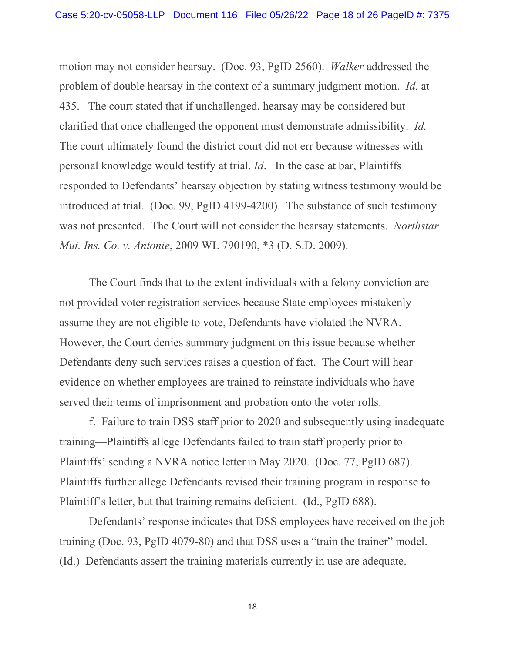motion may not consider hearsay. (Doc. 93, PgID 2560). *Walker* addressed the problem of double hearsay in the context of a summary judgment motion. *Id.* at 435. The court stated that if unchallenged, hearsay may be considered but clarified that once challenged the opponent must demonstrate admissibility. *Id.* The court ultimately found the district court did not err because witnesses with personal knowledge would testify at trial. *Id*. In the case at bar, Plaintiffs responded to Defendants' hearsay objection by stating witness testimony would be introduced at trial. (Doc. 99, PgID 4199-4200). The substance of such testimony was not presented. The Court will not consider the hearsay statements. *Northstar Mut. Ins. Co. v. Antonie*, 2009 WL 790190, \*3 (D. S.D. 2009).

The Court finds that to the extent individuals with a felony conviction are not provided voter registration services because State employees mistakenly assume they are not eligible to vote, Defendants have violated the NVRA. However, the Court denies summary judgment on this issue because whether Defendants deny such services raises a question of fact. The Court will hear evidence on whether employees are trained to reinstate individuals who have served their terms of imprisonment and probation onto the voter rolls.

f. Failure to train DSS staff prior to 2020 and subsequently using inadequate training—Plaintiffs allege Defendants failed to train staff properly prior to Plaintiffs' sending a NVRA notice letterin May 2020. (Doc. 77, PgID 687). Plaintiffs further allege Defendants revised their training program in response to Plaintiff's letter, but that training remains deficient. (Id., PgID 688).

Defendants' response indicates that DSS employees have received on the job training (Doc. 93, PgID 4079-80) and that DSS uses a "train the trainer" model. (Id.) Defendants assert the training materials currently in use are adequate.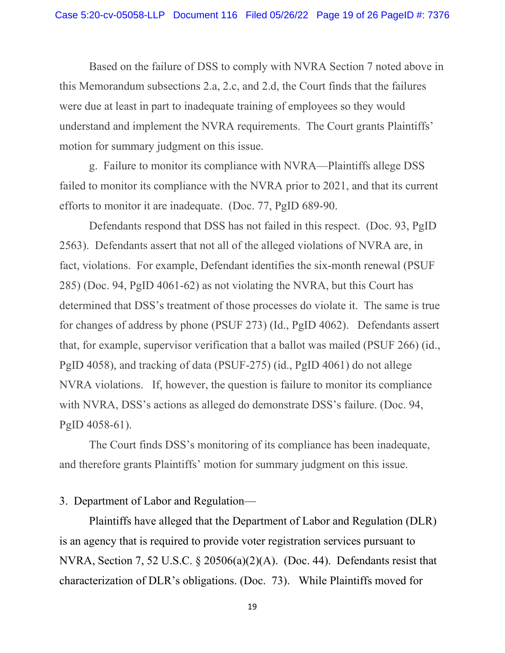Based on the failure of DSS to comply with NVRA Section 7 noted above in this Memorandum subsections 2.a, 2.c, and 2.d, the Court finds that the failures were due at least in part to inadequate training of employees so they would understand and implement the NVRA requirements. The Court grants Plaintiffs' motion for summary judgment on this issue.

g. Failure to monitor its compliance with NVRA—Plaintiffs allege DSS failed to monitor its compliance with the NVRA prior to 2021, and that its current efforts to monitor it are inadequate. (Doc. 77, PgID 689-90.

Defendants respond that DSS has not failed in this respect. (Doc. 93, PgID 2563). Defendants assert that not all of the alleged violations of NVRA are, in fact, violations. For example, Defendant identifies the six-month renewal (PSUF 285) (Doc. 94, PgID 4061-62) as not violating the NVRA, but this Court has determined that DSS's treatment of those processes do violate it. The same is true for changes of address by phone (PSUF 273) (Id., PgID 4062). Defendants assert that, for example, supervisor verification that a ballot was mailed (PSUF 266) (id., PgID 4058), and tracking of data (PSUF-275) (id., PgID 4061) do not allege NVRA violations. If, however, the question is failure to monitor its compliance with NVRA, DSS's actions as alleged do demonstrate DSS's failure. (Doc. 94, PgID 4058-61).

The Court finds DSS's monitoring of its compliance has been inadequate, and therefore grants Plaintiffs' motion for summary judgment on this issue.

#### 3. Department of Labor and Regulation—

Plaintiffs have alleged that the Department of Labor and Regulation (DLR) is an agency that is required to provide voter registration services pursuant to NVRA, Section 7, 52 U.S.C. § 20506(a)(2)(A). (Doc. 44). Defendants resist that characterization of DLR's obligations. (Doc. 73). While Plaintiffs moved for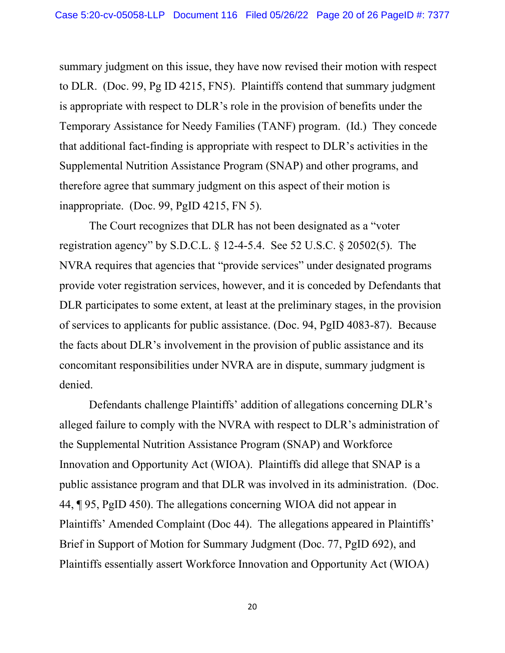summary judgment on this issue, they have now revised their motion with respect to DLR. (Doc. 99, Pg ID 4215, FN5). Plaintiffs contend that summary judgment is appropriate with respect to DLR's role in the provision of benefits under the Temporary Assistance for Needy Families (TANF) program. (Id.) They concede that additional fact-finding is appropriate with respect to DLR's activities in the Supplemental Nutrition Assistance Program (SNAP) and other programs, and therefore agree that summary judgment on this aspect of their motion is inappropriate. (Doc. 99, PgID 4215, FN 5).

The Court recognizes that DLR has not been designated as a "voter registration agency" by S.D.C.L. § 12-4-5.4. See 52 U.S.C. § 20502(5). The NVRA requires that agencies that "provide services" under designated programs provide voter registration services, however, and it is conceded by Defendants that DLR participates to some extent, at least at the preliminary stages, in the provision of services to applicants for public assistance. (Doc. 94, PgID 4083-87). Because the facts about DLR's involvement in the provision of public assistance and its concomitant responsibilities under NVRA are in dispute, summary judgment is denied.

Defendants challenge Plaintiffs' addition of allegations concerning DLR's alleged failure to comply with the NVRA with respect to DLR's administration of the Supplemental Nutrition Assistance Program (SNAP) and Workforce Innovation and Opportunity Act (WIOA). Plaintiffs did allege that SNAP is a public assistance program and that DLR was involved in its administration. (Doc. 44, ¶ 95, PgID 450). The allegations concerning WIOA did not appear in Plaintiffs' Amended Complaint (Doc 44). The allegations appeared in Plaintiffs' Brief in Support of Motion for Summary Judgment (Doc. 77, PgID 692), and Plaintiffs essentially assert Workforce Innovation and Opportunity Act (WIOA)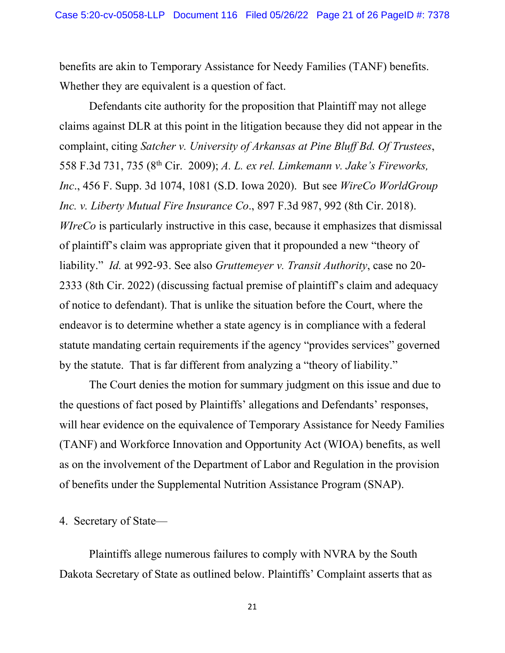benefits are akin to Temporary Assistance for Needy Families (TANF) benefits. Whether they are equivalent is a question of fact.

Defendants cite authority for the proposition that Plaintiff may not allege claims against DLR at this point in the litigation because they did not appear in the complaint, citing *Satcher v. University of Arkansas at Pine Bluff Bd. Of Trustees*, 558 F.3d 731, 735 (8th Cir. 2009); *A. L. ex rel. Limkemann v. Jake's Fireworks, Inc*., 456 F. Supp. 3d 1074, 1081 (S.D. Iowa 2020). But see *WireCo WorldGroup Inc. v. Liberty Mutual Fire Insurance Co*., 897 F.3d 987, 992 (8th Cir. 2018). *WIreCo* is particularly instructive in this case, because it emphasizes that dismissal of plaintiff's claim was appropriate given that it propounded a new "theory of liability." *Id.* at 992-93. See also *Gruttemeyer v. Transit Authority*, case no 20- 2333 (8th Cir. 2022) (discussing factual premise of plaintiff's claim and adequacy of notice to defendant). That is unlike the situation before the Court, where the endeavor is to determine whether a state agency is in compliance with a federal statute mandating certain requirements if the agency "provides services" governed by the statute. That is far different from analyzing a "theory of liability."

The Court denies the motion for summary judgment on this issue and due to the questions of fact posed by Plaintiffs' allegations and Defendants' responses, will hear evidence on the equivalence of Temporary Assistance for Needy Families (TANF) and Workforce Innovation and Opportunity Act (WIOA) benefits, as well as on the involvement of the Department of Labor and Regulation in the provision of benefits under the Supplemental Nutrition Assistance Program (SNAP).

#### 4. Secretary of State—

Plaintiffs allege numerous failures to comply with NVRA by the South Dakota Secretary of State as outlined below. Plaintiffs' Complaint asserts that as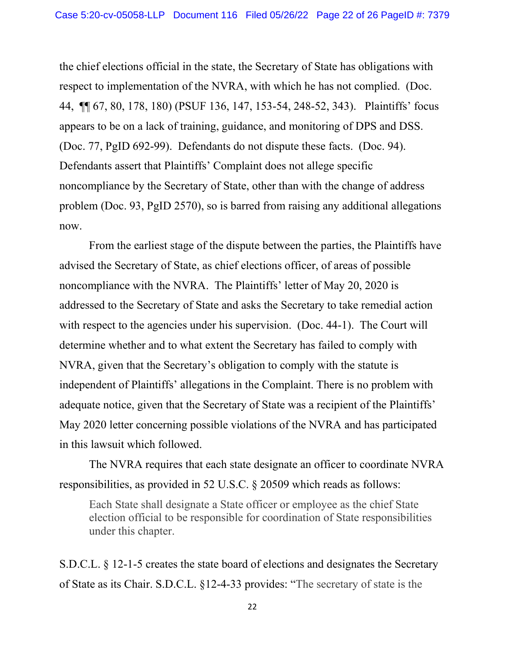the chief elections official in the state, the Secretary of State has obligations with respect to implementation of the NVRA, with which he has not complied. (Doc. 44, ¶¶ 67, 80, 178, 180) (PSUF 136, 147, 153-54, 248-52, 343). Plaintiffs' focus appears to be on a lack of training, guidance, and monitoring of DPS and DSS. (Doc. 77, PgID 692-99). Defendants do not dispute these facts. (Doc. 94). Defendants assert that Plaintiffs' Complaint does not allege specific noncompliance by the Secretary of State, other than with the change of address problem (Doc. 93, PgID 2570), so is barred from raising any additional allegations now.

From the earliest stage of the dispute between the parties, the Plaintiffs have advised the Secretary of State, as chief elections officer, of areas of possible noncompliance with the NVRA. The Plaintiffs' letter of May 20, 2020 is addressed to the Secretary of State and asks the Secretary to take remedial action with respect to the agencies under his supervision. (Doc. 44-1). The Court will determine whether and to what extent the Secretary has failed to comply with NVRA, given that the Secretary's obligation to comply with the statute is independent of Plaintiffs' allegations in the Complaint. There is no problem with adequate notice, given that the Secretary of State was a recipient of the Plaintiffs' May 2020 letter concerning possible violations of the NVRA and has participated in this lawsuit which followed.

The NVRA requires that each state designate an officer to coordinate NVRA responsibilities, as provided in 52 U.S.C. § 20509 which reads as follows:

Each State shall designate a State officer or employee as the chief State election official to be responsible for coordination of State responsibilities under this chapter.

S.D.C.L. § 12-1-5 creates the state board of elections and designates the Secretary of State as its Chair. S.D.C.L. §12-4-33 provides: "The secretary of state is the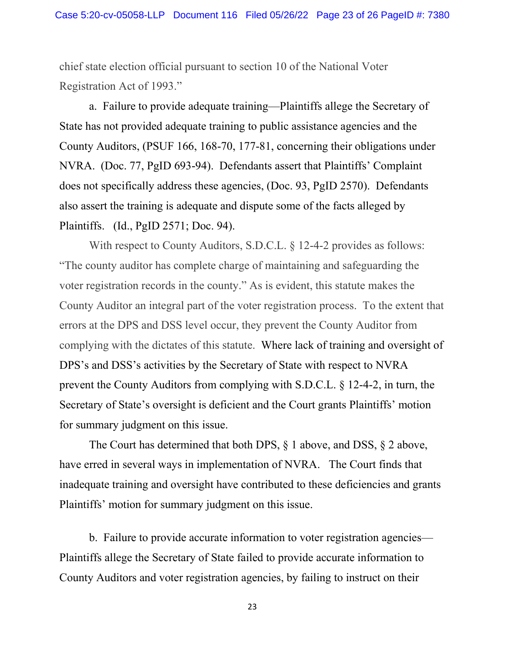chief state election official pursuant to section 10 of the National Voter Registration Act of 1993."

a. Failure to provide adequate training—Plaintiffs allege the Secretary of State has not provided adequate training to public assistance agencies and the County Auditors, (PSUF 166, 168-70, 177-81, concerning their obligations under NVRA. (Doc. 77, PgID 693-94). Defendants assert that Plaintiffs' Complaint does not specifically address these agencies, (Doc. 93, PgID 2570). Defendants also assert the training is adequate and dispute some of the facts alleged by Plaintiffs. (Id., PgID 2571; Doc. 94).

With respect to County Auditors, S.D.C.L. § 12-4-2 provides as follows: "The county auditor has complete charge of maintaining and safeguarding the voter registration records in the county." As is evident, this statute makes the County Auditor an integral part of the voter registration process. To the extent that errors at the DPS and DSS level occur, they prevent the County Auditor from complying with the dictates of this statute. Where lack of training and oversight of DPS's and DSS's activities by the Secretary of State with respect to NVRA prevent the County Auditors from complying with S.D.C.L. § 12-4-2, in turn, the Secretary of State's oversight is deficient and the Court grants Plaintiffs' motion for summary judgment on this issue.

The Court has determined that both DPS, § 1 above, and DSS, § 2 above, have erred in several ways in implementation of NVRA. The Court finds that inadequate training and oversight have contributed to these deficiencies and grants Plaintiffs' motion for summary judgment on this issue.

b. Failure to provide accurate information to voter registration agencies— Plaintiffs allege the Secretary of State failed to provide accurate information to County Auditors and voter registration agencies, by failing to instruct on their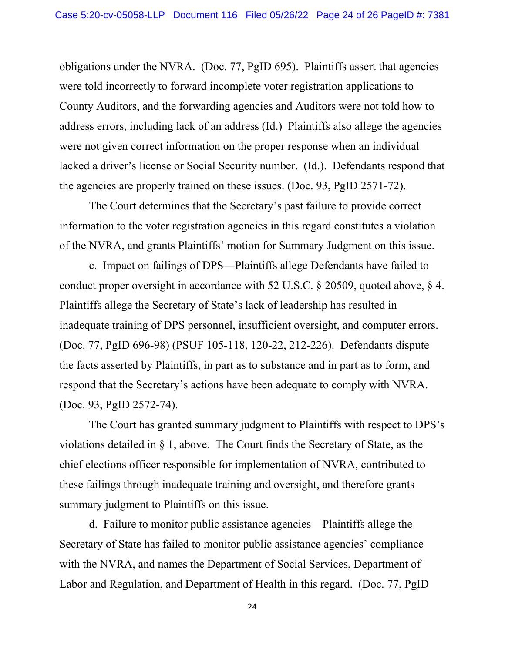obligations under the NVRA. (Doc. 77, PgID 695). Plaintiffs assert that agencies were told incorrectly to forward incomplete voter registration applications to County Auditors, and the forwarding agencies and Auditors were not told how to address errors, including lack of an address (Id.) Plaintiffs also allege the agencies were not given correct information on the proper response when an individual lacked a driver's license or Social Security number. (Id.). Defendants respond that the agencies are properly trained on these issues. (Doc. 93, PgID 2571-72).

The Court determines that the Secretary's past failure to provide correct information to the voter registration agencies in this regard constitutes a violation of the NVRA, and grants Plaintiffs' motion for Summary Judgment on this issue.

c. Impact on failings of DPS—Plaintiffs allege Defendants have failed to conduct proper oversight in accordance with 52 U.S.C. § 20509, quoted above, § 4. Plaintiffs allege the Secretary of State's lack of leadership has resulted in inadequate training of DPS personnel, insufficient oversight, and computer errors. (Doc. 77, PgID 696-98) (PSUF 105-118, 120-22, 212-226). Defendants dispute the facts asserted by Plaintiffs, in part as to substance and in part as to form, and respond that the Secretary's actions have been adequate to comply with NVRA. (Doc. 93, PgID 2572-74).

The Court has granted summary judgment to Plaintiffs with respect to DPS's violations detailed in § 1, above. The Court finds the Secretary of State, as the chief elections officer responsible for implementation of NVRA, contributed to these failings through inadequate training and oversight, and therefore grants summary judgment to Plaintiffs on this issue.

d. Failure to monitor public assistance agencies—Plaintiffs allege the Secretary of State has failed to monitor public assistance agencies' compliance with the NVRA, and names the Department of Social Services, Department of Labor and Regulation, and Department of Health in this regard. (Doc. 77, PgID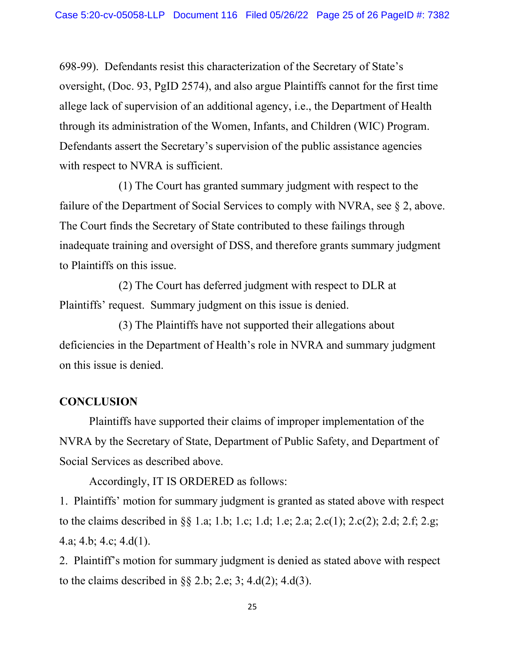698-99). Defendants resist this characterization of the Secretary of State's oversight, (Doc. 93, PgID 2574), and also argue Plaintiffs cannot for the first time allege lack of supervision of an additional agency, i.e., the Department of Health through its administration of the Women, Infants, and Children (WIC) Program. Defendants assert the Secretary's supervision of the public assistance agencies with respect to NVRA is sufficient.

(1) The Court has granted summary judgment with respect to the failure of the Department of Social Services to comply with NVRA, see § 2, above. The Court finds the Secretary of State contributed to these failings through inadequate training and oversight of DSS, and therefore grants summary judgment to Plaintiffs on this issue.

(2) The Court has deferred judgment with respect to DLR at Plaintiffs' request. Summary judgment on this issue is denied.

(3) The Plaintiffs have not supported their allegations about deficiencies in the Department of Health's role in NVRA and summary judgment on this issue is denied.

#### **CONCLUSION**

Plaintiffs have supported their claims of improper implementation of the NVRA by the Secretary of State, Department of Public Safety, and Department of Social Services as described above.

Accordingly, IT IS ORDERED as follows:

1. Plaintiffs' motion for summary judgment is granted as stated above with respect to the claims described in §§ 1.a; 1.b; 1.c; 1.d; 1.e; 2.a; 2.c(1); 2.c(2); 2.d; 2.f; 2.g; 4.a; 4.b; 4.c; 4.d(1).

2. Plaintiff's motion for summary judgment is denied as stated above with respect to the claims described in  $\S 2.b$ ; 2.e; 3; 4.d(2); 4.d(3).